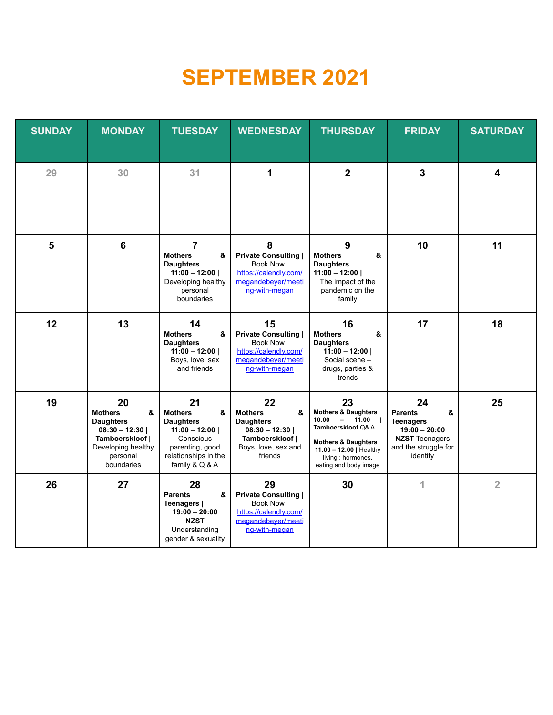# **SEPTEMBER 2021**

| <b>SUNDAY</b> | <b>MONDAY</b>                                                                                                                       | <b>TUESDAY</b>                                                                                                                             | <b>WEDNESDAY</b>                                                                                                      | <b>THURSDAY</b>                                                                                                                                                                              | <b>FRIDAY</b>                                                                                                            | <b>SATURDAY</b>         |
|---------------|-------------------------------------------------------------------------------------------------------------------------------------|--------------------------------------------------------------------------------------------------------------------------------------------|-----------------------------------------------------------------------------------------------------------------------|----------------------------------------------------------------------------------------------------------------------------------------------------------------------------------------------|--------------------------------------------------------------------------------------------------------------------------|-------------------------|
| 29            | 30                                                                                                                                  | 31                                                                                                                                         | 1                                                                                                                     | $\overline{2}$                                                                                                                                                                               | $\overline{\mathbf{3}}$                                                                                                  | $\overline{\mathbf{4}}$ |
| 5             | $6\phantom{1}6$                                                                                                                     | 7<br><b>Mothers</b><br>&<br><b>Daughters</b><br>$11:00 - 12:00$<br>Developing healthy<br>personal<br>boundaries                            | 8<br><b>Private Consulting</b><br>Book Now  <br>https://calendly.com/<br>megandebever/meeti<br>ng-with-megan          | 9<br><b>Mothers</b><br>&<br><b>Daughters</b><br>$11:00 - 12:00$<br>The impact of the<br>pandemic on the<br>family                                                                            | 10                                                                                                                       | 11                      |
| 12            | 13                                                                                                                                  | 14<br>&<br><b>Mothers</b><br><b>Daughters</b><br>$11:00 - 12:00$<br>Boys, love, sex<br>and friends                                         | 15<br><b>Private Consulting  </b><br>Book Now  <br>https://calendly.com/<br>megandebeyer/meeti<br>ng-with-megan       | 16<br>&<br><b>Mothers</b><br><b>Daughters</b><br>$11:00 - 12:00$<br>Social scene -<br>drugs, parties &<br>trends                                                                             | 17                                                                                                                       | 18                      |
| 19            | 20<br>&<br><b>Mothers</b><br><b>Daughters</b><br>$08:30 - 12:30$<br>Tamboerskloof  <br>Developing healthy<br>personal<br>boundaries | 21<br><b>Mothers</b><br>&<br><b>Daughters</b><br>$11:00 - 12:00$<br>Conscious<br>parenting, good<br>relationships in the<br>family & Q & A | 22<br><b>Mothers</b><br>&<br><b>Daughters</b><br>$08:30 - 12:30$<br>Tamboerskloof  <br>Boys, love, sex and<br>friends | 23<br><b>Mothers &amp; Daughters</b><br>10:00<br>$- 11:00$<br>Tamboerskloof Q& A<br><b>Mothers &amp; Daughters</b><br>11:00 - 12:00   Healthy<br>living : hormones,<br>eating and body image | 24<br>&<br><b>Parents</b><br>Teenagers  <br>$19:00 - 20:00$<br><b>NZST</b> Teenagers<br>and the struggle for<br>identity | 25                      |
| 26            | 27                                                                                                                                  | 28<br><b>Parents</b><br>&<br>Teenagers  <br>$19:00 - 20:00$<br><b>NZST</b><br>Understanding<br>gender & sexuality                          | 29<br><b>Private Consulting  </b><br>Book Now  <br>https://calendly.com/<br>megandebever/meeti<br>ng-with-megan       | 30                                                                                                                                                                                           | 1                                                                                                                        | $\overline{2}$          |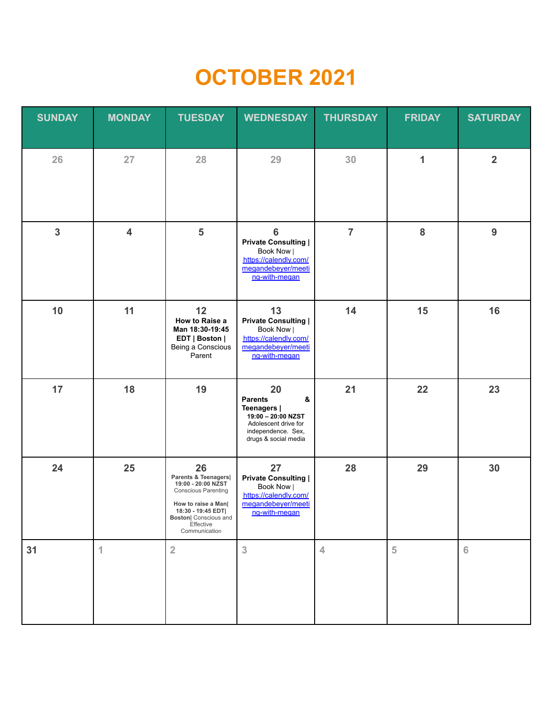# **OCTOBER 2021**

| <b>SUNDAY</b>  | <b>MONDAY</b>           | <b>TUESDAY</b>                                                                                                                                                                   | <b>WEDNESDAY</b>                                                                                                                     | <b>THURSDAY</b> | <b>FRIDAY</b>  | <b>SATURDAY</b> |
|----------------|-------------------------|----------------------------------------------------------------------------------------------------------------------------------------------------------------------------------|--------------------------------------------------------------------------------------------------------------------------------------|-----------------|----------------|-----------------|
| 26             | 27                      | 28                                                                                                                                                                               | 29                                                                                                                                   | 30              | 1              | $\overline{2}$  |
| $\overline{3}$ | $\overline{\mathbf{4}}$ | $\overline{\mathbf{5}}$                                                                                                                                                          | $6\phantom{1}6$<br><b>Private Consulting  </b><br>Book Now  <br>https://calendly.com/<br>megandebeyer/meeti<br>ng-with-megan         | $\overline{7}$  | 8              | 9               |
| 10             | 11                      | 12<br>How to Raise a<br>Man 18:30-19:45<br>EDT   Boston  <br>Being a Conscious<br>Parent                                                                                         | 13<br><b>Private Consulting  </b><br>Book Now  <br>https://calendly.com/<br>megandebeyer/meeti<br>ng-with-megan                      | 14              | 15             | 16              |
| 17             | 18                      | 19                                                                                                                                                                               | 20<br><b>Parents</b><br>&<br>Teenagers  <br>19:00 - 20:00 NZST<br>Adolescent drive for<br>independence. Sex,<br>drugs & social media | 21              | 22             | 23              |
| 24             | 25                      | 26<br>Parents & Teenagers<br>19:00 - 20:00 NZST<br><b>Conscious Parenting</b><br>How to raise a Man <br>18:30 - 19:45 EDT<br>Boston  Conscious and<br>Effective<br>Communication | 27<br><b>Private Consulting  </b><br>Book Now  <br>https://calendly.com/<br>megandebeyer/meeti<br><u>ng-with-megan</u>               | 28              | 29             | 30              |
| 31             | 1                       | $\overline{2}$                                                                                                                                                                   | $\mathbf{3}$                                                                                                                         | $\overline{4}$  | $\overline{5}$ | 6               |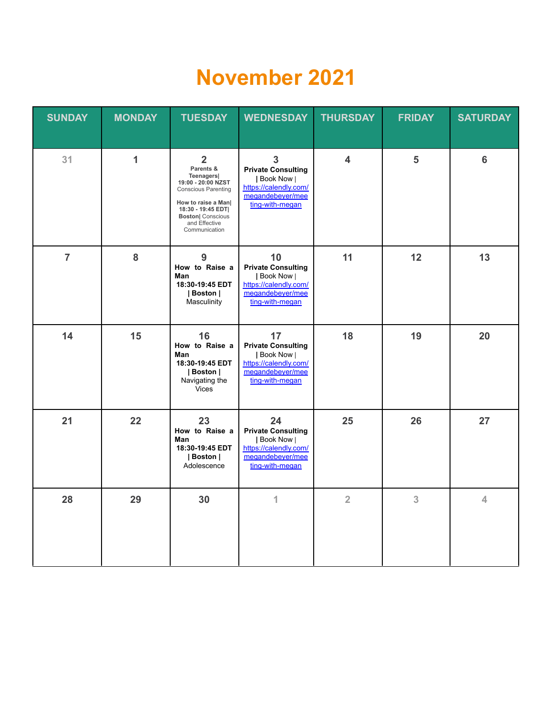#### **November 2021**

| <b>SUNDAY</b>  | <b>MONDAY</b> | <b>TUESDAY</b>                                                                                                                                                                                         | <b>WEDNESDAY</b>                                                                                                            | <b>THURSDAY</b>         | <b>FRIDAY</b> | <b>SATURDAY</b> |
|----------------|---------------|--------------------------------------------------------------------------------------------------------------------------------------------------------------------------------------------------------|-----------------------------------------------------------------------------------------------------------------------------|-------------------------|---------------|-----------------|
| 31             | 1             | $\overline{2}$<br>Parents &<br>Teenagers <br>19:00 - 20:00 NZST<br><b>Conscious Parenting</b><br>How to raise a Man <br>18:30 - 19:45 EDT<br><b>Boston</b> Conscious<br>and Effective<br>Communication | $\overline{3}$<br><b>Private Consulting</b><br>  Book Now  <br>https://calendly.com/<br>megandebever/mee<br>ting-with-megan | $\overline{\mathbf{4}}$ | 5             | $6\phantom{1}6$ |
| $\overline{7}$ | 8             | 9<br>How to Raise a<br>Man<br>18:30-19:45 EDT<br>  Boston  <br>Masculinity                                                                                                                             | 10<br><b>Private Consulting</b><br>  Book Now  <br>https://calendly.com/<br>megandebever/mee<br>ting-with-megan             | 11                      | 12            | 13              |
| 14             | 15            | 16<br>How to Raise a<br>Man<br>18:30-19:45 EDT<br>  Boston  <br>Navigating the<br><b>Vices</b>                                                                                                         | 17<br><b>Private Consulting</b><br>  Book Now  <br>https://calendly.com/<br>megandebever/mee<br>ting-with-megan             | 18                      | 19            | 20              |
| 21             | 22            | 23<br>How to Raise a<br>Man<br>18:30-19:45 EDT<br>  Boston  <br>Adolescence                                                                                                                            | 24<br><b>Private Consulting</b><br>  Book Now  <br>https://calendly.com/<br>megandebever/mee<br>ting-with-megan             | 25                      | 26            | 27              |
| 28             | 29            | 30                                                                                                                                                                                                     | 1                                                                                                                           | $\overline{2}$          | 3             | 4               |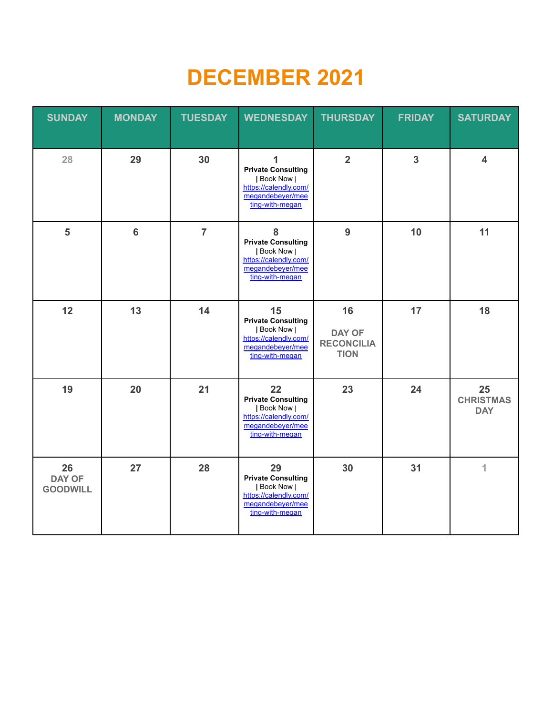# **DECEMBER 2021**

| <b>SUNDAY</b>                   | <b>MONDAY</b>  | <b>TUESDAY</b> | <b>WEDNESDAY</b>                                                                                                | <b>THURSDAY</b>                                         | <b>FRIDAY</b>  | <b>SATURDAY</b>                      |
|---------------------------------|----------------|----------------|-----------------------------------------------------------------------------------------------------------------|---------------------------------------------------------|----------------|--------------------------------------|
| 28                              | 29             | 30             | 1<br><b>Private Consulting</b><br>  Book Now  <br>https://calendly.com/<br>megandebever/mee<br>ting-with-megan  | $\overline{2}$                                          | $\overline{3}$ | $\overline{\mathbf{4}}$              |
| 5                               | $6\phantom{a}$ | $\overline{7}$ | 8<br><b>Private Consulting</b><br>  Book Now  <br>https://calendly.com/<br>megandebeyer/mee<br>ting-with-megan  | 9                                                       | 10             | 11                                   |
| 12                              | 13             | 14             | 15<br><b>Private Consulting</b><br>  Book Now  <br>https://calendly.com/<br>megandebeyer/mee<br>ting-with-megan | 16<br><b>DAY OF</b><br><b>RECONCILIA</b><br><b>TION</b> | 17             | 18                                   |
| 19                              | 20             | 21             | 22<br><b>Private Consulting</b><br>  Book Now  <br>https://calendly.com/<br>megandebeyer/mee<br>ting-with-megan | 23                                                      | 24             | 25<br><b>CHRISTMAS</b><br><b>DAY</b> |
| 26<br>DAY OF<br><b>GOODWILL</b> | 27             | 28             | 29<br><b>Private Consulting</b><br>  Book Now  <br>https://calendly.com/<br>megandebeyer/mee<br>ting-with-megan | 30                                                      | 31             | $\overline{1}$                       |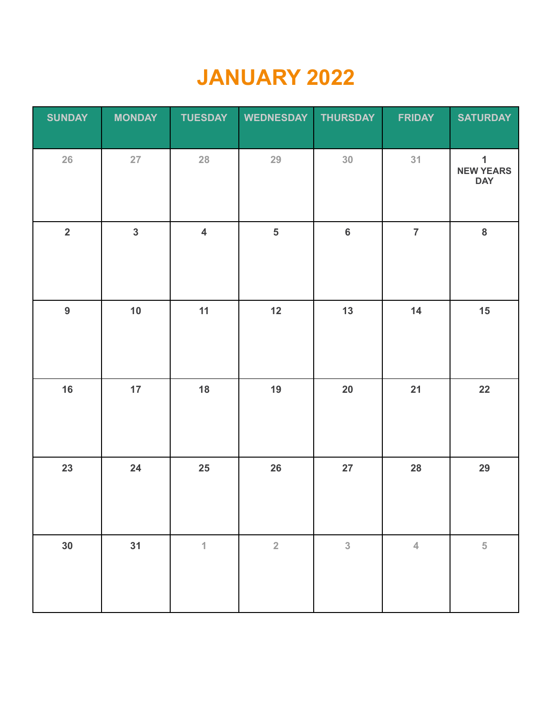# **JANUARY 2022**

| <b>SUNDAY</b>  | <b>MONDAY</b>           | <b>TUESDAY</b>          | <b>WEDNESDAY</b>        | <b>THURSDAY</b> | <b>FRIDAY</b>  | <b>SATURDAY</b>                                |
|----------------|-------------------------|-------------------------|-------------------------|-----------------|----------------|------------------------------------------------|
| 26             | $27\,$                  | 28                      | 29                      | 30 <sub>o</sub> | 31             | $\mathbf{1}$<br><b>NEW YEARS</b><br><b>DAY</b> |
| $\overline{2}$ | $\overline{\mathbf{3}}$ | $\overline{\mathbf{4}}$ | $\overline{\mathbf{5}}$ | $\bf 6$         | $\overline{7}$ | $\bf{8}$                                       |
| $\overline{9}$ | 10                      | 11                      | 12                      | 13              | 14             | 15                                             |
| 16             | 17                      | 18                      | 19                      | 20              | 21             | 22                                             |
| 23             | 24                      | 25                      | 26                      | 27              | 28             | 29                                             |
| 30             | 31                      | $\overline{\mathbf{1}}$ | $\sqrt{2}$              | $\sqrt{3}$      | $\overline{4}$ | $\sqrt{5}$                                     |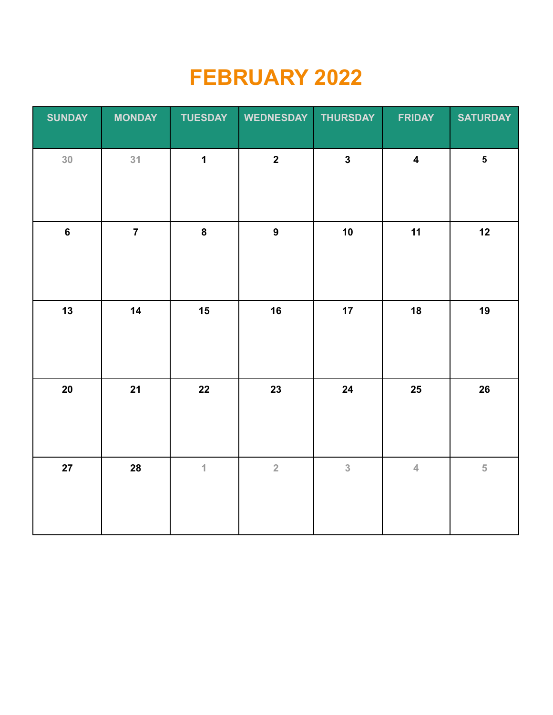# **FEBRUARY 2022**

| <b>SUNDAY</b>  | <b>MONDAY</b>  | <b>TUESDAY</b> | <b>WEDNESDAY</b>        | <b>THURSDAY</b>         | <b>FRIDAY</b>           | <b>SATURDAY</b>         |
|----------------|----------------|----------------|-------------------------|-------------------------|-------------------------|-------------------------|
| 30             | 31             | $\mathbf{1}$   | $\overline{\mathbf{2}}$ | $\overline{\mathbf{3}}$ | $\overline{\mathbf{4}}$ | $\overline{\mathbf{5}}$ |
| $6\phantom{a}$ | $\overline{7}$ | $\bf{8}$       | $\overline{9}$          | 10                      | 11                      | 12                      |
| 13             | 14             | 15             | 16                      | 17                      | 18                      | 19                      |
| $20\,$         | 21             | 22             | 23                      | 24                      | $25\phantom{.0}$        | $26\phantom{.}$         |
| 27             | 28             | $\mathbf{1}$   | $\overline{2}$          | $\overline{3}$          | $\overline{4}$          | $\overline{5}$          |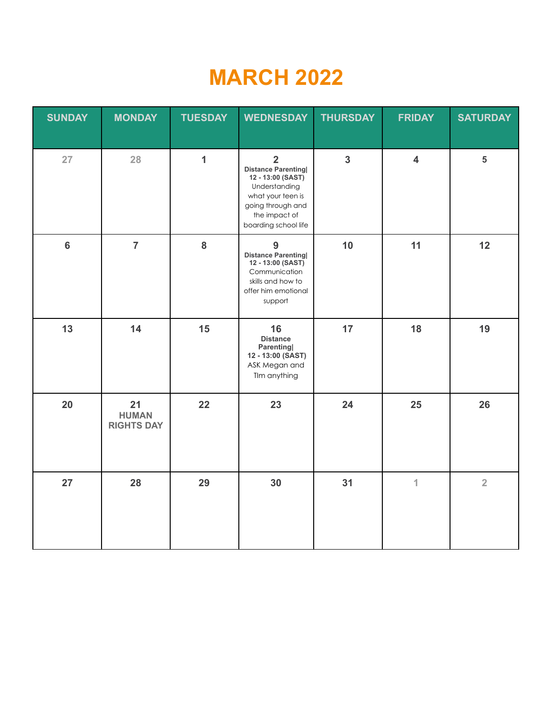# **MARCH 2022**

| <b>SUNDAY</b>  | <b>MONDAY</b>                           | <b>TUESDAY</b> | <b>WEDNESDAY</b>                                                                                                                                                     | <b>THURSDAY</b>         | <b>FRIDAY</b>           | <b>SATURDAY</b> |
|----------------|-----------------------------------------|----------------|----------------------------------------------------------------------------------------------------------------------------------------------------------------------|-------------------------|-------------------------|-----------------|
| 27             | 28                                      | $\mathbf{1}$   | $\overline{2}$<br><b>Distance Parenting</b><br>12 - 13:00 (SAST)<br>Understanding<br>what your teen is<br>going through and<br>the impact of<br>boarding school life | $\overline{\mathbf{3}}$ | $\overline{\mathbf{4}}$ | 5               |
| $6\phantom{a}$ | $\overline{7}$                          | 8              | 9<br><b>Distance Parenting</b><br>12 - 13:00 (SAST)<br>Communication<br>skills and how to<br>offer him emotional<br>support                                          | 10                      | 11                      | 12              |
| 13             | 14                                      | 15             | 16<br><b>Distance</b><br><b>Parenting</b><br>12 - 13:00 (SAST)<br>ASK Megan and<br>Tlm anything                                                                      | 17                      | 18                      | 19              |
| 20             | 21<br><b>HUMAN</b><br><b>RIGHTS DAY</b> | 22             | 23                                                                                                                                                                   | 24                      | 25                      | 26              |
| 27             | 28                                      | 29             | 30                                                                                                                                                                   | 31                      | 1                       | $\overline{2}$  |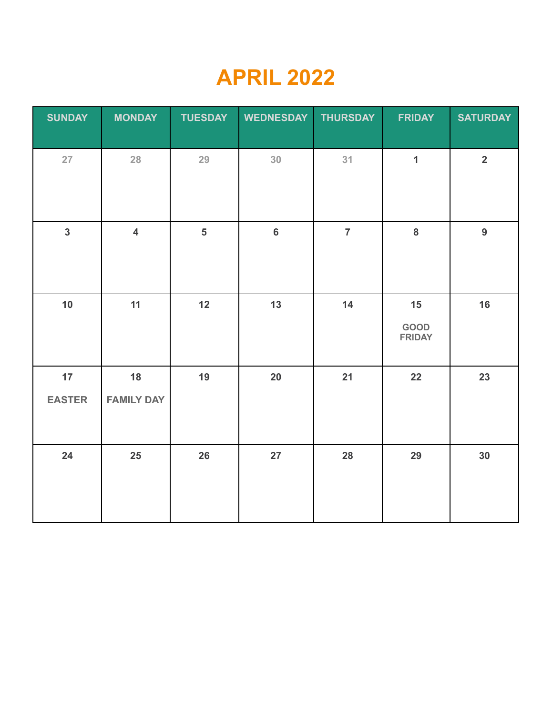### **APRIL 2022**

| <b>SUNDAY</b>       | <b>MONDAY</b>           | <b>TUESDAY</b>          | <b>WEDNESDAY</b> | <b>THURSDAY</b> | <b>FRIDAY</b>               | <b>SATURDAY</b>         |
|---------------------|-------------------------|-------------------------|------------------|-----------------|-----------------------------|-------------------------|
| 27                  | 28                      | 29                      | 30               | 31              | $\mathbf{1}$                | $\overline{\mathbf{2}}$ |
| $\overline{3}$      | $\overline{\mathbf{4}}$ | $\overline{\mathbf{5}}$ | $\bf 6$          | $\overline{7}$  | $\bf 8$                     | $\overline{9}$          |
| 10                  | 11                      | 12                      | 13               | 14              | 15<br>GOOD<br><b>FRIDAY</b> | 16                      |
| 17<br><b>EASTER</b> | 18<br><b>FAMILY DAY</b> | 19                      | $20\,$           | 21              | 22                          | 23                      |
| 24                  | 25                      | 26                      | 27               | 28              | 29                          | 30                      |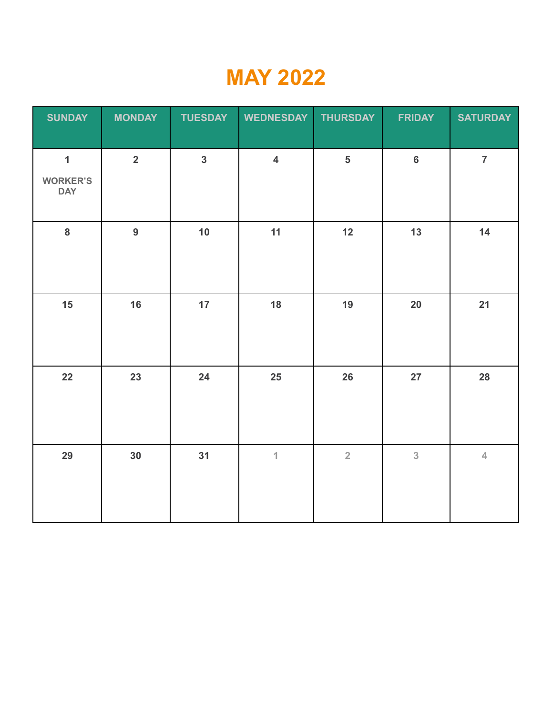#### **MAY 2022**

| <b>SUNDAY</b>                                 | <b>MONDAY</b>           | <b>TUESDAY</b> | <b>WEDNESDAY</b>        | <b>THURSDAY</b>         | <b>FRIDAY</b>  | <b>SATURDAY</b> |
|-----------------------------------------------|-------------------------|----------------|-------------------------|-------------------------|----------------|-----------------|
| $\mathbf{1}$<br><b>WORKER'S</b><br><b>DAY</b> | $\overline{\mathbf{2}}$ | $\overline{3}$ | $\overline{\mathbf{4}}$ | $\overline{\mathbf{5}}$ | $6\phantom{a}$ | $\overline{7}$  |
| $\bf{8}$                                      | $\overline{9}$          | 10             | 11                      | 12                      | 13             | 14              |
| 15                                            | 16                      | 17             | 18                      | 19                      | 20             | 21              |
| 22                                            | 23                      | 24             | 25                      | 26                      | 27             | 28              |
| 29                                            | 30                      | 31             | $\mathbf 1$             | $\overline{2}$          | 3              | $\overline{4}$  |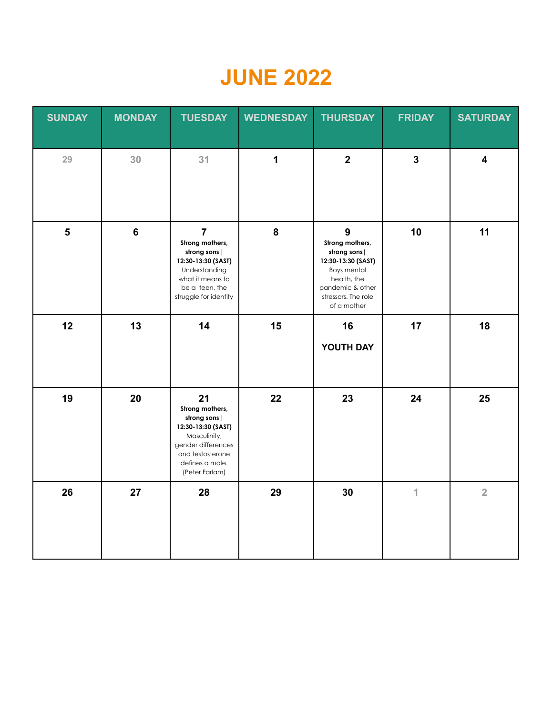### **JUNE 2022**

| <b>SUNDAY</b>           | <b>MONDAY</b> | <b>TUESDAY</b>                                                                                                                                            | <b>WEDNESDAY</b> | <b>THURSDAY</b>                                                                                                                                                    | <b>FRIDAY</b>           | <b>SATURDAY</b>         |
|-------------------------|---------------|-----------------------------------------------------------------------------------------------------------------------------------------------------------|------------------|--------------------------------------------------------------------------------------------------------------------------------------------------------------------|-------------------------|-------------------------|
| 29                      | 30            | 31                                                                                                                                                        | $\mathbf 1$      | $\overline{\mathbf{2}}$                                                                                                                                            | $\overline{\mathbf{3}}$ | $\overline{\mathbf{4}}$ |
| $\overline{\mathbf{5}}$ | $\bf 6$       | $\overline{7}$<br>Strong mothers,<br>strong sons  <br>12:30-13:30 (SAST)<br>Understanding<br>what it means to<br>be a teen, the<br>struggle for identity  | ${\bf 8}$        | $\boldsymbol{9}$<br>Strong mothers,<br>strong sons  <br>12:30-13:30 (SAST)<br>Boys mental<br>health, the<br>pandemic & other<br>stressors. The role<br>of a mother | 10                      | 11                      |
| 12                      | 13            | 14                                                                                                                                                        | 15               | 16<br>YOUTH DAY                                                                                                                                                    | 17                      | 18                      |
| 19                      | 20            | 21<br>Strong mothers,<br>strong sons<br>12:30-13:30 (SAST)<br>Masculinity,<br>gender differences<br>and testosterone<br>defines a male.<br>(Peter Farlam) | 22               | 23                                                                                                                                                                 | 24                      | 25                      |
| 26                      | 27            | 28                                                                                                                                                        | 29               | 30                                                                                                                                                                 | $\overline{\mathbf{1}}$ | $\overline{2}$          |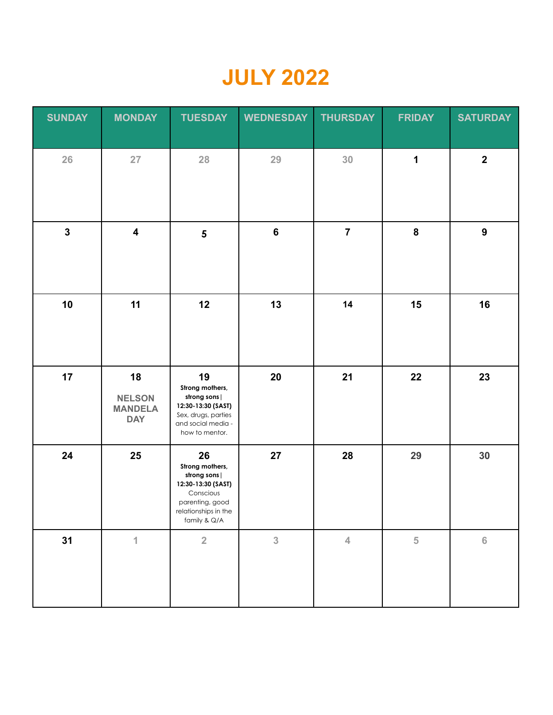### **JULY 2022**

| <b>SUNDAY</b> | <b>MONDAY</b>                                       | <b>TUESDAY</b>                                                                                                                       | <b>WEDNESDAY</b> | <b>THURSDAY</b> | <b>FRIDAY</b> | <b>SATURDAY</b>  |
|---------------|-----------------------------------------------------|--------------------------------------------------------------------------------------------------------------------------------------|------------------|-----------------|---------------|------------------|
| 26            | $27\,$                                              | 28                                                                                                                                   | 29               | 30              | 1             | $\overline{2}$   |
| $\mathbf{3}$  | $\overline{\mathbf{4}}$                             | $\overline{\mathbf{5}}$                                                                                                              | $\bf 6$          | $\overline{7}$  | ${\bf 8}$     | $\boldsymbol{9}$ |
| 10            | 11                                                  | 12                                                                                                                                   | 13               | 14              | 15            | 16               |
| 17            | 18<br><b>NELSON</b><br><b>MANDELA</b><br><b>DAY</b> | 19<br>Strong mothers,<br>strong sons  <br>12:30-13:30 (SAST)<br>Sex, drugs, parties<br>and social media -<br>how to mentor.          | 20               | 21              | 22            | 23               |
| 24            | 25                                                  | 26<br>Strong mothers,<br>strong sons  <br>12:30-13:30 (SAST)<br>Conscious<br>parenting, good<br>relationships in the<br>family & Q/A | 27               | 28              | 29            | 30               |
| 31            | $\overline{1}$                                      | $\sqrt{2}$                                                                                                                           | $\overline{3}$   | $\overline{4}$  | 5             | $\,$ 6 $\,$      |